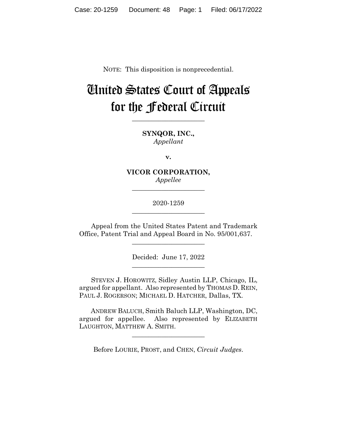NOTE: This disposition is nonprecedential.

# United States Court of Appeals for the Federal Circuit

**\_\_\_\_\_\_\_\_\_\_\_\_\_\_\_\_\_\_\_\_\_\_** 

**SYNQOR, INC.,** *Appellant*

**v.**

**VICOR CORPORATION,** *Appellee*

**\_\_\_\_\_\_\_\_\_\_\_\_\_\_\_\_\_\_\_\_\_\_** 

2020-1259 **\_\_\_\_\_\_\_\_\_\_\_\_\_\_\_\_\_\_\_\_\_\_** 

Appeal from the United States Patent and Trademark Office, Patent Trial and Appeal Board in No. 95/001,637.

 $\overline{\phantom{a}}$  , where  $\overline{\phantom{a}}$  , where  $\overline{\phantom{a}}$  , where  $\overline{\phantom{a}}$ 

Decided: June 17, 2022  $\overline{\phantom{a}}$  , where  $\overline{\phantom{a}}$  , where  $\overline{\phantom{a}}$  , where  $\overline{\phantom{a}}$ 

STEVEN J. HOROWITZ, Sidley Austin LLP, Chicago, IL, argued for appellant. Also represented by THOMAS D. REIN, PAUL J. ROGERSON; MICHAEL D. HATCHER, Dallas, TX.

 ANDREW BALUCH, Smith Baluch LLP, Washington, DC, argued for appellee. Also represented by ELIZABETH LAUGHTON, MATTHEW A. SMITH.

\_\_\_\_\_\_\_\_\_\_\_\_\_\_\_\_\_\_\_\_\_\_

Before LOURIE, PROST, and CHEN, *Circuit Judges*.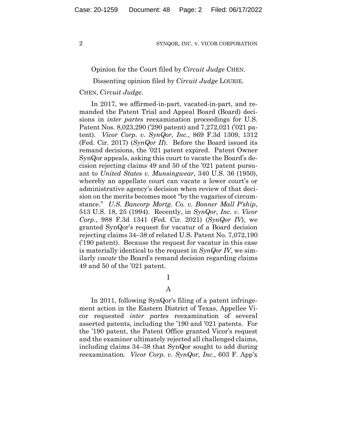## Opinion for the Court filed by *Circuit Judge* CHEN.

# Dissenting opinion filed by *Circuit Judge* LOURIE.

# CHEN, *Circuit Judge*.

In 2017, we affirmed-in-part, vacated-in-part, and remanded the Patent Trial and Appeal Board (Board) decisions in *inter partes* reexamination proceedings for U.S. Patent Nos. 8,023,290 ('290 patent) and 7,272,021 ('021 patent). *Vicor Corp. v. SynQor, Inc.*, 869 F.3d 1309, 1312 (Fed. Cir. 2017) (*SynQor II*). Before the Board issued its remand decisions, the '021 patent expired. Patent Owner SynQor appeals, asking this court to vacate the Board's decision rejecting claims 49 and 50 of the '021 patent pursuant to *United States v. Munsingwear*, 340 U.S. 36 (1950), whereby an appellate court can vacate a lower court's or administrative agency's decision when review of that decision on the merits becomes moot "by the vagaries of circumstance." *U.S. Bancorp Mortg. Co. v. Bonner Mall P'ship*, 513 U.S. 18, 25 (1994). Recently, in *SynQor, Inc. v. Vicor Corp.*, 988 F.3d 1341 (Fed. Cir. 2021) (*SynQor IV*), we granted SynQor's request for vacatur of a Board decision rejecting claims 34–38 of related U.S. Patent No. 7,072,190 ('190 patent). Because the request for vacatur in this case is materially identical to the request in *SynQor IV*, we similarly *vacate* the Board's remand decision regarding claims 49 and 50 of the '021 patent.

# I

# A

In 2011, following SynQor's filing of a patent infringement action in the Eastern District of Texas, Appellee Vicor requested *inter partes* reexamination of several asserted patents, including the '190 and '021 patents. For the '190 patent, the Patent Office granted Vicor's request and the examiner ultimately rejected all challenged claims, including claims 34–38 that SynQor sought to add during reexamination. *Vicor Corp. v. SynQor, Inc.*, 603 F. App'x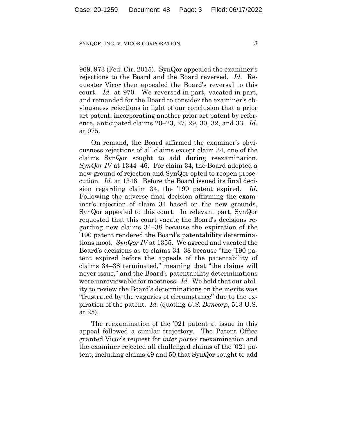969, 973 (Fed. Cir. 2015). SynQor appealed the examiner's rejections to the Board and the Board reversed. *Id.* Requester Vicor then appealed the Board's reversal to this court. *Id.* at 970. We reversed-in-part, vacated-in-part, and remanded for the Board to consider the examiner's obviousness rejections in light of our conclusion that a prior art patent, incorporating another prior art patent by reference, anticipated claims 20–23, 27, 29, 30, 32, and 33. *Id.* at 975.

On remand, the Board affirmed the examiner's obviousness rejections of all claims except claim 34, one of the claims SynQor sought to add during reexamination. *SynQor IV* at 1344–46. For claim 34, the Board adopted a new ground of rejection and SynQor opted to reopen prosecution. *Id.* at 1346. Before the Board issued its final decision regarding claim 34, the '190 patent expired. *Id.* Following the adverse final decision affirming the examiner's rejection of claim 34 based on the new grounds, SynQor appealed to this court. In relevant part, SynQor requested that this court vacate the Board's decisions regarding new claims 34–38 because the expiration of the '190 patent rendered the Board's patentability determinations moot. *SynQor IV* at 1355. We agreed and vacated the Board's decisions as to claims 34–38 because "the '190 patent expired before the appeals of the patentability of claims 34–38 terminated," meaning that "the claims will never issue," and the Board's patentability determinations were unreviewable for mootness. *Id.* We held that our ability to review the Board's determinations on the merits was "frustrated by the vagaries of circumstance" due to the expiration of the patent. *Id.* (quoting *U.S. Bancorp*, 513 U.S. at 25).

The reexamination of the '021 patent at issue in this appeal followed a similar trajectory. The Patent Office granted Vicor's request for *inter partes* reexamination and the examiner rejected all challenged claims of the '021 patent, including claims 49 and 50 that SynQor sought to add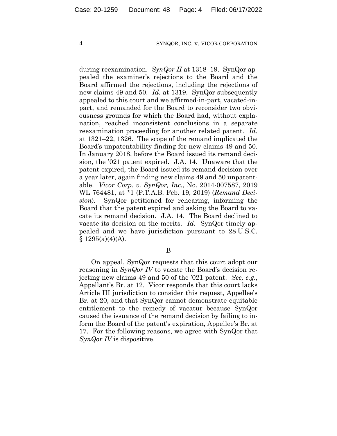during reexamination. *SynQor II* at 1318–19. SynQor appealed the examiner's rejections to the Board and the Board affirmed the rejections, including the rejections of new claims 49 and 50. *Id.* at 1319. SynQor subsequently appealed to this court and we affirmed-in-part, vacated-inpart, and remanded for the Board to reconsider two obviousness grounds for which the Board had, without explanation, reached inconsistent conclusions in a separate reexamination proceeding for another related patent. *Id.* at 1321–22, 1326. The scope of the remand implicated the Board's unpatentability finding for new claims 49 and 50. In January 2018, before the Board issued its remand decision, the '021 patent expired. J.A. 14. Unaware that the patent expired, the Board issued its remand decision over a year later, again finding new claims 49 and 50 unpatentable. *Vicor Corp. v. SynQor, Inc.*, No. 2014-007587, 2019 WL 764481, at \*1 (P.T.A.B. Feb. 19, 2019) (*Remand Decision*)*.* SynQor petitioned for rehearing, informing the Board that the patent expired and asking the Board to vacate its remand decision. J.A. 14. The Board declined to vacate its decision on the merits. *Id.* SynQor timely appealed and we have jurisdiction pursuant to 28 U.S.C.  $§ 1295(a)(4)(A).$ 

#### B

On appeal, SynQor requests that this court adopt our reasoning in *SynQor IV* to vacate the Board's decision rejecting new claims 49 and 50 of the '021 patent. *See, e.g.*, Appellant's Br. at 12. Vicor responds that this court lacks Article III jurisdiction to consider this request, Appellee's Br. at 20, and that SynQor cannot demonstrate equitable entitlement to the remedy of vacatur because SynQor caused the issuance of the remand decision by failing to inform the Board of the patent's expiration, Appellee's Br. at 17. For the following reasons, we agree with SynQor that *SynQor IV* is dispositive.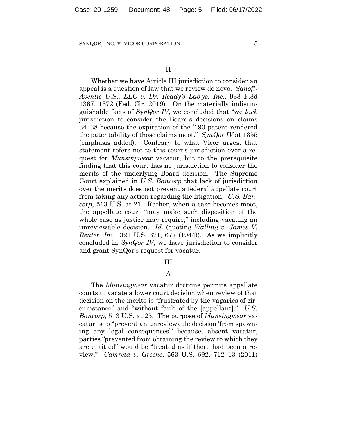Whether we have Article III jurisdiction to consider an appeal is a question of law that we review de novo. *Sanofi-Aventis U.S., LLC v. Dr. Reddy's Lab'ys, Inc.*, 933 F.3d 1367, 1372 (Fed. Cir. 2019). On the materially indistinguishable facts of *SynQor IV*, we concluded that "we *lack* jurisdiction to consider the Board's decisions on claims 34–38 because the expiration of the '190 patent rendered the patentability of those claims moot." *SynQor IV* at 1355 (emphasis added). Contrary to what Vicor urges, that statement refers not to this court's jurisdiction over a request for *Munsingwear* vacatur, but to the prerequisite finding that this court has no jurisdiction to consider the merits of the underlying Board decision. The Supreme Court explained in *U.S. Bancorp* that lack of jurisdiction over the merits does not prevent a federal appellate court from taking any action regarding the litigation. *U.S. Bancorp*, 513 U.S. at 21. Rather, when a case becomes moot, the appellate court "may make such disposition of the whole case as justice may require," including vacating an unreviewable decision. *Id.* (quoting *Walling v. James V. Reuter, Inc.*, 321 U.S. 671, 677 (1944)). As we implicitly concluded in *SynQor IV*, we have jurisdiction to consider and grant SynQor's request for vacatur.

#### III

# A

The *Munsingwear* vacatur doctrine permits appellate courts to vacate a lower court decision when review of that decision on the merits is "frustrated by the vagaries of circumstance" and "without fault of the [appellant]." *U.S. Bancorp*, 513 U.S. at 25. The purpose of *Munsingwear* vacatur is to "prevent an unreviewable decision 'from spawning any legal consequences'" because, absent vacatur, parties "prevented from obtaining the review to which they are entitled" would be "treated as if there had been a review." *Camreta v. Greene*, 563 U.S. 692, 712–13 (2011)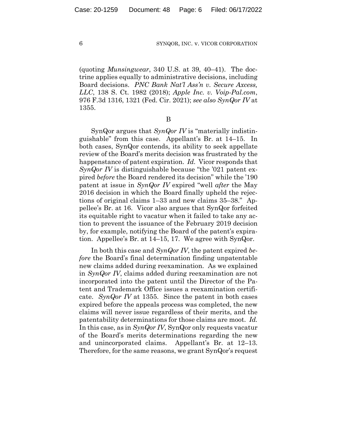(quoting *Munsingwear*, 340 U.S. at 39, 40–41). The doctrine applies equally to administrative decisions, including Board decisions. *PNC Bank Nat'l Ass'n v. Secure Axcess, LLC*, 138 S. Ct. 1982 (2018); *Apple Inc. v. Voip-Pal.com*, 976 F.3d 1316, 1321 (Fed. Cir. 2021); *see also SynQor IV* at 1355.

B

SynQor argues that *SynQor IV* is "materially indistinguishable" from this case. Appellant's Br. at 14–15. In both cases, SynQor contends, its ability to seek appellate review of the Board's merits decision was frustrated by the happenstance of patent expiration. *Id.* Vicor responds that *SynQor IV* is distinguishable because "the '021 patent expired *before* the Board rendered its decision" while the '190 patent at issue in *SynQor IV* expired "well *after* the May 2016 decision in which the Board finally upheld the rejections of original claims 1–33 and new claims 35–38." Appellee's Br. at 16. Vicor also argues that SynQor forfeited its equitable right to vacatur when it failed to take any action to prevent the issuance of the February 2019 decision by, for example, notifying the Board of the patent's expiration. Appellee's Br. at 14–15, 17. We agree with SynQor.

In both this case and *SynQor IV*, the patent expired *before* the Board's final determination finding unpatentable new claims added during reexamination. As we explained in *SynQor IV*, claims added during reexamination are not incorporated into the patent until the Director of the Patent and Trademark Office issues a reexamination certificate. *SynQor IV* at 1355. Since the patent in both cases expired before the appeals process was completed, the new claims will never issue regardless of their merits, and the patentability determinations for those claims are moot. *Id.* In this case, as in *SynQor IV*, SynQor only requests vacatur of the Board's merits determinations regarding the new and unincorporated claims. Appellant's Br. at 12–13. Therefore, for the same reasons, we grant SynQor's request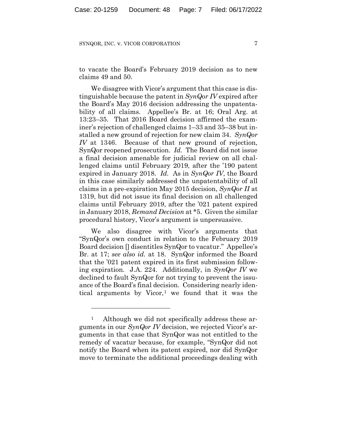to vacate the Board's February 2019 decision as to new claims 49 and 50.

We disagree with Vicor's argument that this case is distinguishable because the patent in *SynQor IV* expired after the Board's May 2016 decision addressing the unpatentability of all claims. Appellee's Br. at 16; Oral Arg. at 13:23–35. That 2016 Board decision affirmed the examiner's rejection of challenged claims 1–33 and 35–38 but installed a new ground of rejection for new claim 34. *SynQor IV* at 1346. Because of that new ground of rejection, SynQor reopened prosecution. *Id.* The Board did not issue a final decision amenable for judicial review on all challenged claims until February 2019, after the '190 patent expired in January 2018. *Id.* As in *SynQor IV*, the Board in this case similarly addressed the unpatentability of all claims in a pre-expiration May 2015 decision, *SynQor II* at 1319, but did not issue its final decision on all challenged claims until February 2019, after the '021 patent expired in January 2018, *Remand Decision* at \*5. Given the similar procedural history, Vicor's argument is unpersuasive.

We also disagree with Vicor's arguments that "SynQor's own conduct in relation to the February 2019 Board decision [] disentitles SynQor to vacatur." Appellee's Br. at 17; *see also id.* at 18. SynQor informed the Board that the '021 patent expired in its first submission following expiration. J.A. 224. Additionally, in *SynQor IV* we declined to fault SynQor for not trying to prevent the issuance of the Board's final decision. Considering nearly identical arguments by Vicor,<sup>1</sup> we found that it was the

<sup>&</sup>lt;sup>1</sup> Although we did not specifically address these arguments in our *SynQor IV* decision, we rejected Vicor's arguments in that case that SynQor was not entitled to the remedy of vacatur because, for example, "SynQor did not notify the Board when its patent expired, nor did SynQor move to terminate the additional proceedings dealing with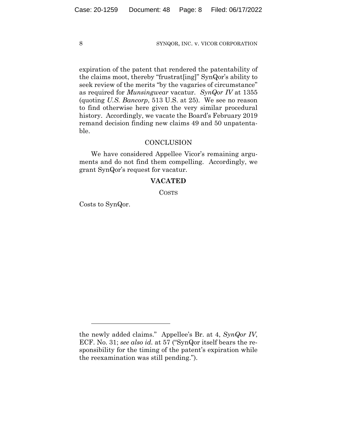expiration of the patent that rendered the patentability of the claims moot, thereby "frustrat[ing]" SynQor's ability to seek review of the merits "by the vagaries of circumstance" as required for *Munsingwear* vacatur. *SynQor IV* at 1355 (quoting *U.S. Bancorp*, 513 U.S. at 25). We see no reason to find otherwise here given the very similar procedural history. Accordingly, we vacate the Board's February 2019 remand decision finding new claims 49 and 50 unpatentable.

# **CONCLUSION**

We have considered Appellee Vicor's remaining arguments and do not find them compelling. Accordingly, we grant SynQor's request for vacatur.

# **VACATED**

COSTS

Costs to SynQor.

the newly added claims." Appellee's Br. at 4, *SynQor IV*, ECF. No. 31; *see also id.* at 57 ("SynQor itself bears the responsibility for the timing of the patent's expiration while the reexamination was still pending.").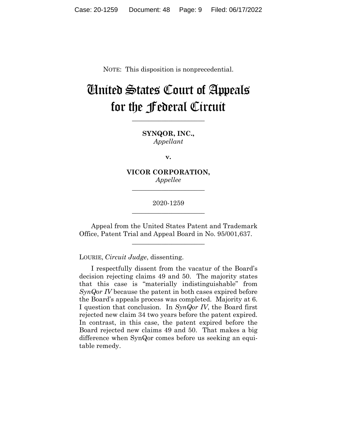NOTE: This disposition is nonprecedential.

# United States Court of Appeals for the Federal Circuit

**\_\_\_\_\_\_\_\_\_\_\_\_\_\_\_\_\_\_\_\_\_\_** 

**SYNQOR, INC.,** *Appellant*

**v.**

**VICOR CORPORATION,** *Appellee*

**\_\_\_\_\_\_\_\_\_\_\_\_\_\_\_\_\_\_\_\_\_\_** 

2020-1259 **\_\_\_\_\_\_\_\_\_\_\_\_\_\_\_\_\_\_\_\_\_\_** 

Appeal from the United States Patent and Trademark Office, Patent Trial and Appeal Board in No. 95/001,637.

 $\overline{\phantom{a}}$  , where  $\overline{\phantom{a}}$  , where  $\overline{\phantom{a}}$  , where  $\overline{\phantom{a}}$ 

LOURIE, *Circuit Judge*, dissenting.

I respectfully dissent from the vacatur of the Board's decision rejecting claims 49 and 50. The majority states that this case is "materially indistinguishable" from *SynQor IV* because the patent in both cases expired before the Board's appeals process was completed. Majority at 6. I question that conclusion. In *SynQor IV*, the Board first rejected new claim 34 two years before the patent expired. In contrast, in this case, the patent expired before the Board rejected new claims 49 and 50. That makes a big difference when SynQor comes before us seeking an equitable remedy.